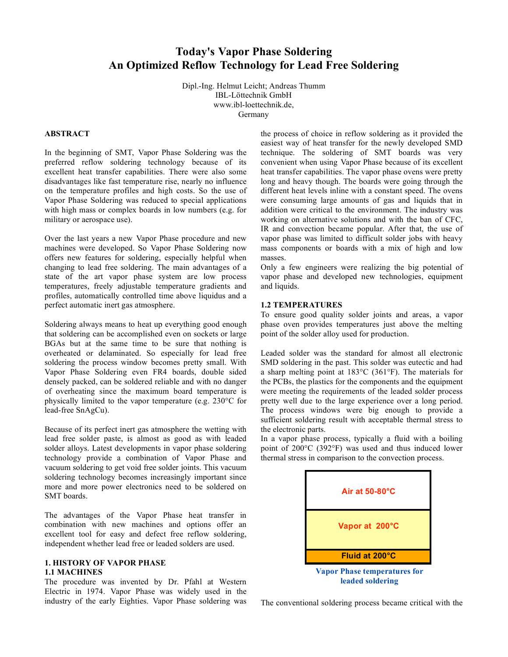# **Today's Vapor Phase Soldering An Optimized Reflow Technology for Lead Free Soldering**

Dipl.-Ing. Helmut Leicht; Andreas Thumm IBL-Löttechnik GmbH www.ibl-loettechnik.de, Germany

#### **ABSTRACT**

In the beginning of SMT, Vapor Phase Soldering was the preferred reflow soldering technology because of its excellent heat transfer capabilities. There were also some disadvantages like fast temperature rise, nearly no influence on the temperature profiles and high costs. So the use of Vapor Phase Soldering was reduced to special applications with high mass or complex boards in low numbers (e.g. for military or aerospace use).

Over the last years a new Vapor Phase procedure and new machines were developed. So Vapor Phase Soldering now offers new features for soldering, especially helpful when changing to lead free soldering. The main advantages of a state of the art vapor phase system are low process temperatures, freely adjustable temperature gradients and profiles, automatically controlled time above liquidus and a perfect automatic inert gas atmosphere.

Soldering always means to heat up everything good enough that soldering can be accomplished even on sockets or large BGAs but at the same time to be sure that nothing is overheated or delaminated. So especially for lead free soldering the process window becomes pretty small. With Vapor Phase Soldering even FR4 boards, double sided densely packed, can be soldered reliable and with no danger of overheating since the maximum board temperature is physically limited to the vapor temperature (e.g. 230°C for lead-free SnAgCu).

Because of its perfect inert gas atmosphere the wetting with lead free solder paste, is almost as good as with leaded solder alloys. Latest developments in vapor phase soldering technology provide a combination of Vapor Phase and vacuum soldering to get void free solder joints. This vacuum soldering technology becomes increasingly important since more and more power electronics need to be soldered on SMT boards.

The advantages of the Vapor Phase heat transfer in combination with new machines and options offer an excellent tool for easy and defect free reflow soldering, independent whether lead free or leaded solders are used.

## **1. HISTORY OF VAPOR PHASE 1.1 MACHINES**

The procedure was invented by Dr. Pfahl at Western Electric in 1974. Vapor Phase was widely used in the industry of the early Eighties. Vapor Phase soldering was the process of choice in reflow soldering as it provided the easiest way of heat transfer for the newly developed SMD technique. The soldering of SMT boards was very convenient when using Vapor Phase because of its excellent heat transfer capabilities. The vapor phase ovens were pretty long and heavy though. The boards were going through the different heat levels inline with a constant speed. The ovens were consuming large amounts of gas and liquids that in addition were critical to the environment. The industry was working on alternative solutions and with the ban of CFC, IR and convection became popular. After that, the use of vapor phase was limited to difficult solder jobs with heavy mass components or boards with a mix of high and low masses.

Only a few engineers were realizing the big potential of vapor phase and developed new technologies, equipment and liquids.

#### **1.2 TEMPERATURES**

To ensure good quality solder joints and areas, a vapor phase oven provides temperatures just above the melting point of the solder alloy used for production.

Leaded solder was the standard for almost all electronic SMD soldering in the past. This solder was eutectic and had a sharp melting point at 183°C (361°F). The materials for the PCBs, the plastics for the components and the equipment were meeting the requirements of the leaded solder process pretty well due to the large experience over a long period. The process windows were big enough to provide a sufficient soldering result with acceptable thermal stress to the electronic parts.

In a vapor phase process, typically a fluid with a boiling point of 200°C (392°F) was used and thus induced lower thermal stress in comparison to the convection process.



The conventional soldering process became critical with the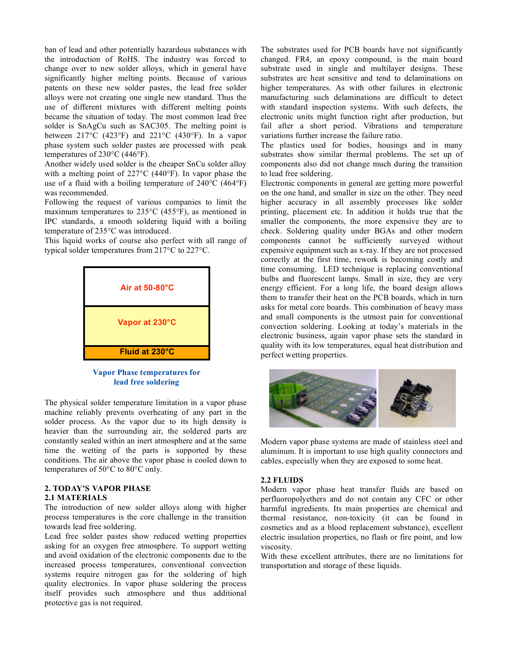ban of lead and other potentially hazardous substances with the introduction of RoHS. The industry was forced to change over to new solder alloys, which in general have significantly higher melting points. Because of various patents on these new solder pastes, the lead free solder alloys were not creating one single new standard. Thus the use of different mixtures with different melting points became the situation of today. The most common lead free solder is SnAgCu such as SAC305. The melting point is between  $217^{\circ}$ C (423°F) and  $221^{\circ}$ C (430°F). In a vapor phase system such solder pastes are processed with peak temperatures of 230°C (446°F).

Another widely used solder is the cheaper SnCu solder alloy with a melting point of 227°C (440°F). In vapor phase the use of a fluid with a boiling temperature of 240°C (464°F) was recommended.

Following the request of various companies to limit the maximum temperatures to 235°C (455°F), as mentioned in IPC standards, a smooth soldering liquid with a boiling temperature of 235°C was introduced.

This liquid works of course also perfect with all range of typical solder temperatures from 217°C to 227°C.



**Vapor Phase temperatures for lead free soldering**

The physical solder temperature limitation in a vapor phase machine reliably prevents overheating of any part in the solder process. As the vapor due to its high density is heavier than the surrounding air, the soldered parts are constantly sealed within an inert atmosphere and at the same time the wetting of the parts is supported by these conditions. The air above the vapor phase is cooled down to temperatures of 50°C to 80°C only.

## **2. TODAY'S VAPOR PHASE 2.1 MATERIALS**

The introduction of new solder alloys along with higher process temperatures is the core challenge in the transition towards lead free soldering.

Lead free solder pastes show reduced wetting properties asking for an oxygen free atmosphere. To support wetting and avoid oxidation of the electronic components due to the increased process temperatures, conventional convection systems require nitrogen gas for the soldering of high quality electronics. In vapor phase soldering the process itself provides such atmosphere and thus additional protective gas is not required.

The substrates used for PCB boards have not significantly changed. FR4, an epoxy compound, is the main board substrate used in single and multilayer designs. These substrates are heat sensitive and tend to delaminations on higher temperatures. As with other failures in electronic manufacturing such delaminations are difficult to detect with standard inspection systems. With such defects, the electronic units might function right after production, but fail after a short period. Vibrations and temperature variations further increase the failure ratio.

The plastics used for bodies, housings and in many substrates show similar thermal problems. The set up of components also did not change much during the transition to lead free soldering.

Electronic components in general are getting more powerful on the one hand, and smaller in size on the other. They need higher accuracy in all assembly processes like solder printing, placement etc. In addition it holds true that the smaller the components, the more expensive they are to check. Soldering quality under BGAs and other modern components cannot be sufficiently surveyed without expensive equipment such as x-ray. If they are not processed correctly at the first time, rework is becoming costly and time consuming. LED technique is replacing conventional bulbs and fluorescent lamps. Small in size, they are very energy efficient. For a long life, the board design allows them to transfer their heat on the PCB boards, which in turn asks for metal core boards. This combination of heavy mass and small components is the utmost pain for conventional convection soldering. Looking at today's materials in the electronic business, again vapor phase sets the standard in quality with its low temperatures, equal heat distribution and perfect wetting properties.



Modern vapor phase systems are made of stainless steel and aluminum. It is important to use high quality connectors and cables, especially when they are exposed to some heat.

## **2.2 FLUIDS**

Modern vapor phase heat transfer fluids are based on perfluoropolyethers and do not contain any CFC or other harmful ingredients. Its main properties are chemical and thermal resistance, non-toxicity (it can be found in cosmetics and as a blood replacement substance), excellent electric insulation properties, no flash or fire point, and low viscosity.

With these excellent attributes, there are no limitations for transportation and storage of these liquids.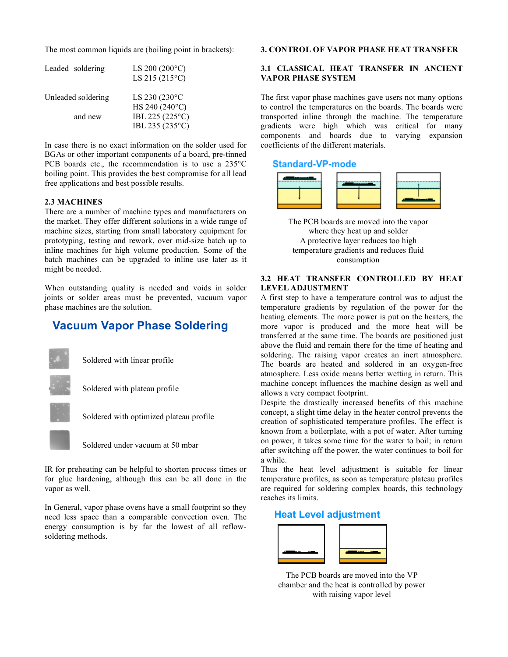The most common liquids are (boiling point in brackets):

| Leaded soldering   | LS 200 $(200^{\circ}C)$<br>LS 215 (215 $\degree$ C) |
|--------------------|-----------------------------------------------------|
| Unleaded soldering | LS 230 (230°C<br>HS 240 (240°C)                     |
| and new            | IBL 225 (225°C)                                     |
|                    | IBL 235 (235°C)                                     |

In case there is no exact information on the solder used for BGAs or other important components of a board, pre-tinned PCB boards etc., the recommendation is to use a 235°C boiling point. This provides the best compromise for all lead free applications and best possible results.

### **2.3 MACHINES**

There are a number of machine types and manufacturers on the market. They offer different solutions in a wide range of machine sizes, starting from small laboratory equipment for prototyping, testing and rework, over mid-size batch up to inline machines for high volume production. Some of the batch machines can be upgraded to inline use later as it might be needed.

When outstanding quality is needed and voids in solder joints or solder areas must be prevented, vacuum vapor phase machines are the solution.

# **Vacuum Vapor Phase Soldering**



Soldered with linear profile



Soldered with plateau profile



Soldered with optimized plateau profile



IR for preheating can be helpful to shorten process times or for glue hardening, although this can be all done in the vapor as well.

In General, vapor phase ovens have a small footprint so they need less space than a comparable convection oven. The energy consumption is by far the lowest of all reflowsoldering methods.

#### **3. CONTROL OF VAPOR PHASE HEAT TRANSFER**

## **3.1 CLASSICAL HEAT TRANSFER IN ANCIENT VAPOR PHASE SYSTEM**

The first vapor phase machines gave users not many options to control the temperatures on the boards. The boards were transported inline through the machine. The temperature gradients were high which was critical for many components and boards due to varying expansion coefficients of the different materials.

#### **Standard-VP-mode**



The PCB boards are moved into the vapor where they heat up and solder A protective layer reduces too high temperature gradients and reduces fluid consumption

### **3.2 HEAT TRANSFER CONTROLLED BY HEAT LEVEL ADJUSTMENT**

A first step to have a temperature control was to adjust the temperature gradients by regulation of the power for the heating elements. The more power is put on the heaters, the more vapor is produced and the more heat will be transferred at the same time. The boards are positioned just above the fluid and remain there for the time of heating and soldering. The raising vapor creates an inert atmosphere. The boards are heated and soldered in an oxygen-free atmosphere. Less oxide means better wetting in return. This machine concept influences the machine design as well and allows a very compact footprint.

Despite the drastically increased benefits of this machine concept, a slight time delay in the heater control prevents the creation of sophisticated temperature profiles. The effect is known from a boilerplate, with a pot of water. After turning on power, it takes some time for the water to boil; in return after switching off the power, the water continues to boil for a while.

Thus the heat level adjustment is suitable for linear temperature profiles, as soon as temperature plateau profiles are required for soldering complex boards, this technology reaches its limits.

#### **Heat Level adjustment**



The PCB boards are moved into the VP chamber and the heat is controlled by power with raising vapor level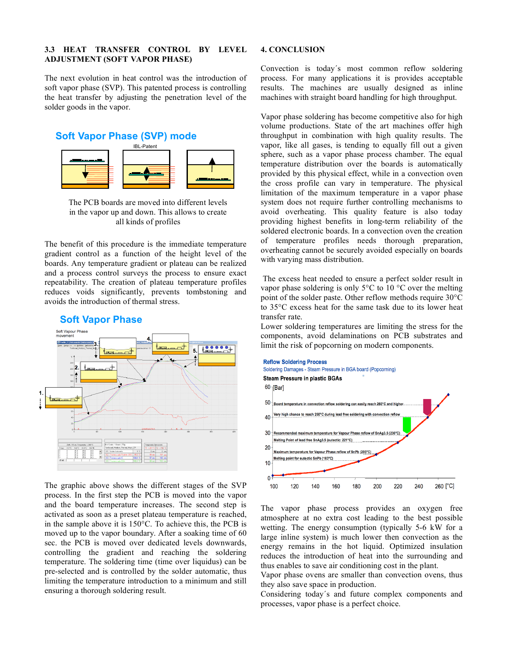## **3.3 HEAT TRANSFER CONTROL BY LEVEL ADJUSTMENT (SOFT VAPOR PHASE)**

The next evolution in heat control was the introduction of soft vapor phase (SVP). This patented process is controlling the heat transfer by adjusting the penetration level of the solder goods in the vapor.

## **Soft Vapor Phase (SVP) mode**



The PCB boards are moved into different levels in the vapor up and down. This allows to create all kinds of profiles

The benefit of this procedure is the immediate temperature gradient control as a function of the height level of the boards. Any temperature gradient or plateau can be realized and a process control surveys the process to ensure exact repeatability. The creation of plateau temperature profiles reduces voids significantly, prevents tombstoning and avoids the introduction of thermal stress.



## **Soft Vapor Phase**

The graphic above shows the different stages of the SVP process. In the first step the PCB is moved into the vapor and the board temperature increases. The second step is activated as soon as a preset plateau temperature is reached, in the sample above it is 150°C. To achieve this, the PCB is moved up to the vapor boundary. After a soaking time of 60 sec. the PCB is moved over dedicated levels downwards, controlling the gradient and reaching the soldering temperature. The soldering time (time over liquidus) can be pre-selected and is controlled by the solder automatic, thus limiting the temperature introduction to a minimum and still ensuring a thorough soldering result.

#### **4. CONCLUSION**

Convection is today´s most common reflow soldering process. For many applications it is provides acceptable results. The machines are usually designed as inline machines with straight board handling for high throughput.

Vapor phase soldering has become competitive also for high volume productions. State of the art machines offer high throughput in combination with high quality results. The vapor, like all gases, is tending to equally fill out a given sphere, such as a vapor phase process chamber. The equal temperature distribution over the boards is automatically provided by this physical effect, while in a convection oven the cross profile can vary in temperature. The physical limitation of the maximum temperature in a vapor phase system does not require further controlling mechanisms to avoid overheating. This quality feature is also today providing highest benefits in long-term reliability of the soldered electronic boards. In a convection oven the creation of temperature profiles needs thorough preparation, overheating cannot be securely avoided especially on boards with varying mass distribution.

The excess heat needed to ensure a perfect solder result in vapor phase soldering is only 5°C to 10 °C over the melting point of the solder paste. Other reflow methods require 30°C to 35°C excess heat for the same task due to its lower heat transfer rate.

Lower soldering temperatures are limiting the stress for the components, avoid delaminations on PCB substrates and limit the risk of popcorning on modern components.



The vapor phase process provides an oxygen free atmosphere at no extra cost leading to the best possible wetting. The energy consumption (typically 5-6 kW for a large inline system) is much lower then convection as the energy remains in the hot liquid. Optimized insulation reduces the introduction of heat into the surrounding and thus enables to save air conditioning cost in the plant.

Vapor phase ovens are smaller than convection ovens, thus they also save space in production.

Considering today´s and future complex components and processes, vapor phase is a perfect choice.